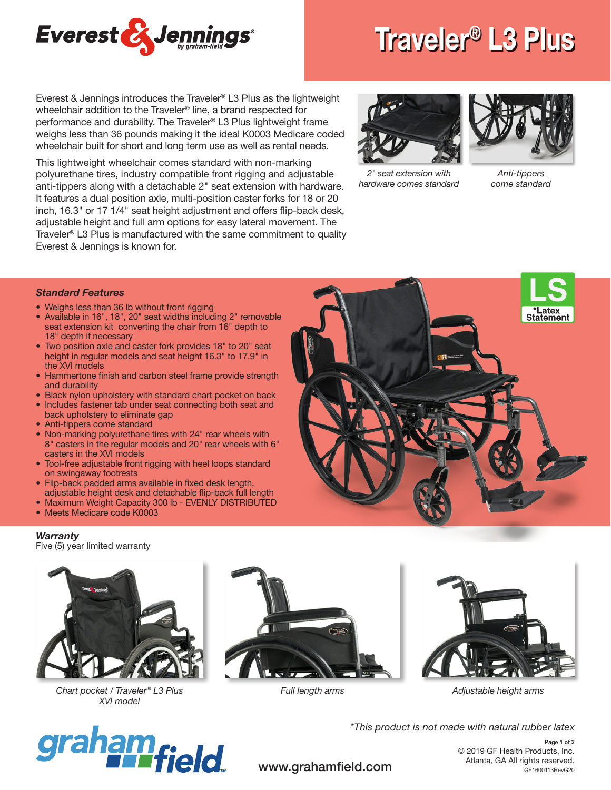

Everest & Jennings introduces the Traveler® L3 Plus as the lightweight wheelchair addition to the Traveler® line, a brand respected for performance and durability. The Traveler® L3 Plus lightweight frame weighs less than 36 pounds making it the ideal K0003 Medicare coded wheelchair built for short and long term use as well as rental needs.

This lightweight wheelchair comes standard with non-marking polyurethane tires, industry compatible front rigging and adjustable anti-tippers along with a detachable 2" seat extension with hardware. It features a dual position axle, multi-position caster forks for 18 or 20 inch, 16.3" or 17 1/4" seat height adjustment and offers flip-back desk, adjustable height and full arm options for easy lateral movement. The Traveler® L3 Plus is manufactured with the same commitment to quality Everest & Jennings is known for.

## Traveler® L3 Plus



*2" seat extension with hardware comes standard*



*Anti-tippers come standard* 

## *Standard Features*

- Weighs less than 36 lb without front rigging
- Available in 16", 18", 20" seat widths including 2" removable seat extension kit converting the chair from 16" depth to 18" depth if necessary
- Two position axle and caster fork provides 18" to 20" seat height in regular models and seat height 16.3" to 17.9" in the XVI models
- Hammertone finish and carbon steel frame provide strength and durability
- Black nylon upholstery with standard chart pocket on back
- Includes fastener tab under seat connecting both seat and back upholstery to eliminate gap
- Anti-tippers come standard
- Non-marking polyurethane tires with 24" rear wheels with 8" casters in the regular models and 20" rear wheels with 6" casters in the XVI models
- Tool-free adjustable front rigging with heel loops standard on swingaway footrests
- Flip-back padded arms available in fixed desk length, adjustable height desk and detachable flip-back full length
- Maximum Weight Capacity 300 lb EVENLY DISTRIBUTED
- Meets Medicare code K0003

## *Warranty*

Five (5) year limited warranty



*Chart pocket / Traveler® L3 Plus XVI model*







*Full length arms Adjustable height arms*



*\*This product is not made with natural rubber latex*

© 2019 GF Health Products, Inc. Atlanta, GA All rights reserved.<br>
GF1600113RevG20 GF1600113RevG20 **Page 1 of 2**